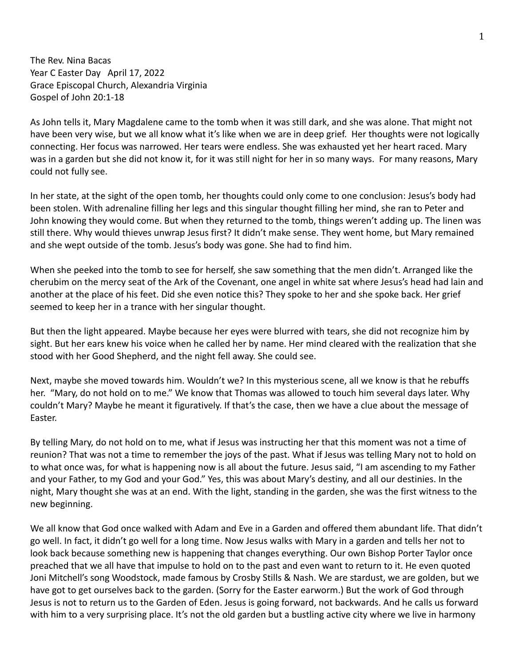The Rev. Nina Bacas Year C Easter Day April 17, 2022 Grace Episcopal Church, Alexandria Virginia Gospel of John 20:1-18

As John tells it, Mary Magdalene came to the tomb when it was still dark, and she was alone. That might not have been very wise, but we all know what it's like when we are in deep grief. Her thoughts were not logically connecting. Her focus was narrowed. Her tears were endless. She was exhausted yet her heart raced. Mary was in a garden but she did not know it, for it was still night for her in so many ways. For many reasons, Mary could not fully see.

In her state, at the sight of the open tomb, her thoughts could only come to one conclusion: Jesus's body had been stolen. With adrenaline filling her legs and this singular thought filling her mind, she ran to Peter and John knowing they would come. But when they returned to the tomb, things weren't adding up. The linen was still there. Why would thieves unwrap Jesus first? It didn't make sense. They went home, but Mary remained and she wept outside of the tomb. Jesus's body was gone. She had to find him.

When she peeked into the tomb to see for herself, she saw something that the men didn't. Arranged like the cherubim on the mercy seat of the Ark of the Covenant, one angel in white sat where Jesus's head had lain and another at the place of his feet. Did she even notice this? They spoke to her and she spoke back. Her grief seemed to keep her in a trance with her singular thought.

But then the light appeared. Maybe because her eyes were blurred with tears, she did not recognize him by sight. But her ears knew his voice when he called her by name. Her mind cleared with the realization that she stood with her Good Shepherd, and the night fell away. She could see.

Next, maybe she moved towards him. Wouldn't we? In this mysterious scene, all we know is that he rebuffs her. "Mary, do not hold on to me." We know that Thomas was allowed to touch him several days later. Why couldn't Mary? Maybe he meant it figuratively. If that's the case, then we have a clue about the message of Easter.

By telling Mary, do not hold on to me, what if Jesus was instructing her that this moment was not a time of reunion? That was not a time to remember the joys of the past. What if Jesus was telling Mary not to hold on to what once was, for what is happening now is all about the future. Jesus said, "I am ascending to my Father and your Father, to my God and your God." Yes, this was about Mary's destiny, and all our destinies. In the night, Mary thought she was at an end. With the light, standing in the garden, she was the first witness to the new beginning.

We all know that God once walked with Adam and Eve in a Garden and offered them abundant life. That didn't go well. In fact, it didn't go well for a long time. Now Jesus walks with Mary in a garden and tells her not to look back because something new is happening that changes everything. Our own Bishop Porter Taylor once preached that we all have that impulse to hold on to the past and even want to return to it. He even quoted Joni Mitchell's song Woodstock, made famous by Crosby Stills & Nash. We are stardust, we are golden, but we have got to get ourselves back to the garden. (Sorry for the Easter earworm.) But the work of God through Jesus is not to return us to the Garden of Eden. Jesus is going forward, not backwards. And he calls us forward with him to a very surprising place. It's not the old garden but a bustling active city where we live in harmony